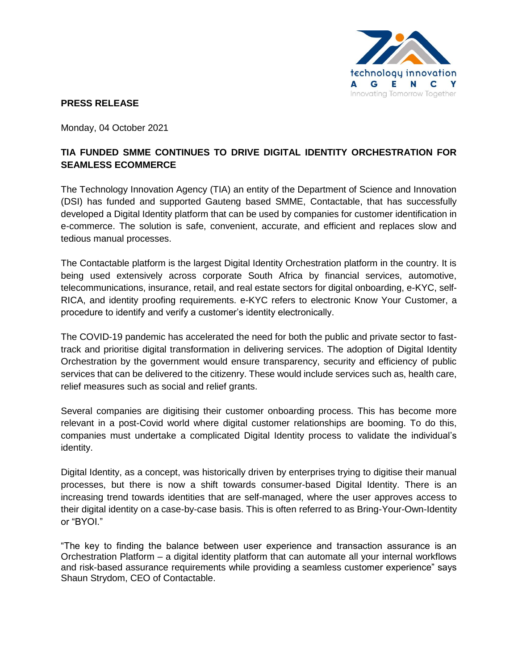

## **PRESS RELEASE**

Monday, 04 October 2021

## **TIA FUNDED SMME CONTINUES TO DRIVE DIGITAL IDENTITY ORCHESTRATION FOR SEAMLESS ECOMMERCE**

The Technology Innovation Agency (TIA) an entity of the Department of Science and Innovation (DSI) has funded and supported Gauteng based SMME, Contactable, that has successfully developed a Digital Identity platform that can be used by companies for customer identification in e-commerce. The solution is safe, convenient, accurate, and efficient and replaces slow and tedious manual processes.

The Contactable platform is the largest Digital Identity Orchestration platform in the country. It is being used extensively across corporate South Africa by financial services, automotive, telecommunications, insurance, retail, and real estate sectors for digital onboarding, e-KYC, self-RICA, and identity proofing requirements. e-KYC refers to electronic Know Your Customer, a procedure to identify and verify a customer's identity electronically.

The COVID-19 pandemic has accelerated the need for both the public and private sector to fasttrack and prioritise digital transformation in delivering services. The adoption of Digital Identity Orchestration by the government would ensure transparency, security and efficiency of public services that can be delivered to the citizenry. These would include services such as, health care, relief measures such as social and relief grants.

Several companies are digitising their customer onboarding process. This has become more relevant in a post-Covid world where digital customer relationships are booming. To do this, companies must undertake a complicated Digital Identity process to validate the individual's identity.

Digital Identity, as a concept, was historically driven by enterprises trying to digitise their manual processes, but there is now a shift towards consumer-based Digital Identity. There is an increasing trend towards identities that are self-managed, where the user approves access to their digital identity on a case-by-case basis. This is often referred to as Bring-Your-Own-Identity or "BYOI."

"The key to finding the balance between user experience and transaction assurance is an Orchestration Platform – a digital identity platform that can automate all your internal workflows and risk-based assurance requirements while providing a seamless customer experience" says Shaun Strydom, CEO of Contactable.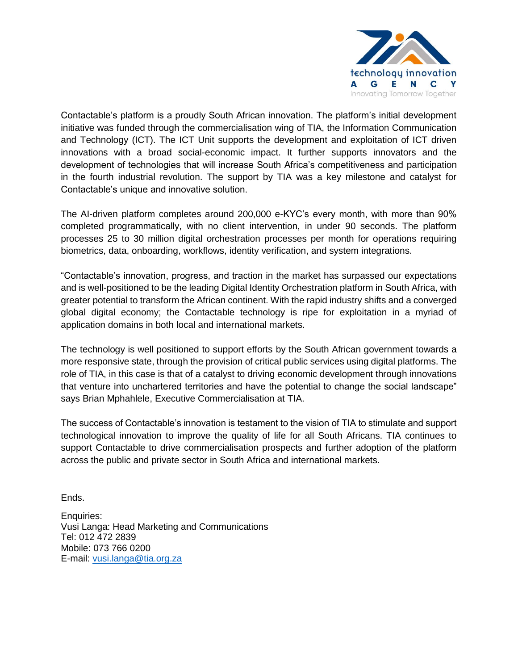

Contactable's platform is a proudly South African innovation. The platform's initial development initiative was funded through the commercialisation wing of TIA, the Information Communication and Technology (ICT). The ICT Unit supports the development and exploitation of ICT driven innovations with a broad social-economic impact. It further supports innovators and the development of technologies that will increase South Africa's competitiveness and participation in the fourth industrial revolution. The support by TIA was a key milestone and catalyst for Contactable's unique and innovative solution.

The AI-driven platform completes around 200,000 e-KYC's every month, with more than 90% completed programmatically, with no client intervention, in under 90 seconds. The platform processes 25 to 30 million digital orchestration processes per month for operations requiring biometrics, data, onboarding, workflows, identity verification, and system integrations.

"Contactable's innovation, progress, and traction in the market has surpassed our expectations and is well-positioned to be the leading Digital Identity Orchestration platform in South Africa, with greater potential to transform the African continent. With the rapid industry shifts and a converged global digital economy; the Contactable technology is ripe for exploitation in a myriad of application domains in both local and international markets.

The technology is well positioned to support efforts by the South African government towards a more responsive state, through the provision of critical public services using digital platforms. The role of TIA, in this case is that of a catalyst to driving economic development through innovations that venture into unchartered territories and have the potential to change the social landscape" says Brian Mphahlele, Executive Commercialisation at TIA.

The success of Contactable's innovation is testament to the vision of TIA to stimulate and support technological innovation to improve the quality of life for all South Africans. TIA continues to support Contactable to drive commercialisation prospects and further adoption of the platform across the public and private sector in South Africa and international markets.

Ends.

Enquiries: Vusi Langa: Head Marketing and Communications Tel: 012 472 2839 Mobile: 073 766 0200 E-mail: [vusi.langa@tia.org.za](mailto:vusi.langa@tia.org.za)